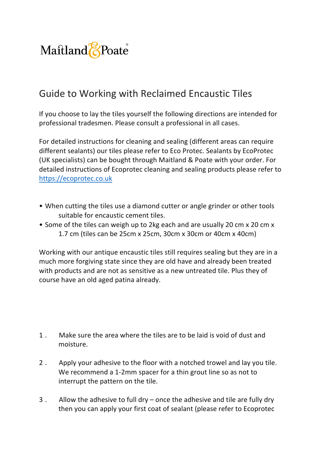

## Guide to Working with Reclaimed Encaustic Tiles

If you choose to lay the tiles yourself the following directions are intended for professional tradesmen. Please consult a professional in all cases.

For detailed instructions for cleaning and sealing (different areas can require different sealants) our tiles please refer to Eco Protec. Sealants by EcoProtec (UK specialists) can be bought through Maitland & Poate with your order. For detailed instructions of Ecoprotec cleaning and sealing products please refer to https://ecoprotec.co.uk

- When cutting the tiles use a diamond cutter or angle grinder or other tools suitable for encaustic cement tiles.
- Some of the tiles can weigh up to 2kg each and are usually 20 cm x 20 cm x 1.7 cm (tiles can be 25cm x 25cm, 30cm x 30cm or 40cm x 40cm)

Working with our antique encaustic tiles still requires sealing but they are in a much more forgiving state since they are old have and already been treated with products and are not as sensitive as a new untreated tile. Plus they of course have an old aged patina already.

- 1. Make sure the area where the tiles are to be laid is void of dust and moisture.
- 2. Apply your adhesive to the floor with a notched trowel and lay you tile. We recommend a 1-2mm spacer for a thin grout line so as not to interrupt the pattern on the tile.
- 3 . Allow the adhesive to full dry once the adhesive and tile are fully dry then you can apply your first coat of sealant (please refer to Ecoprotec